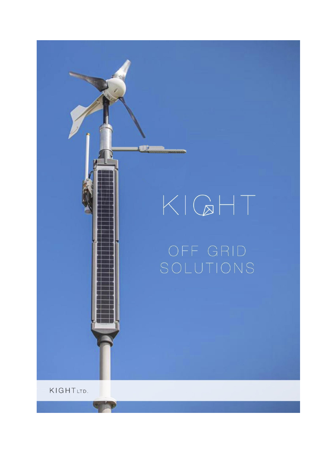# $KQHT$

**THE** 

KIGHTLTD.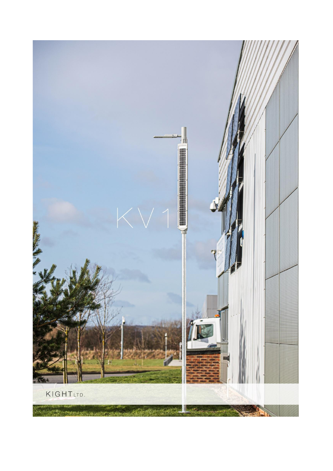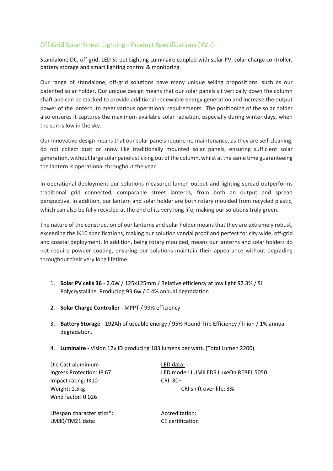## Off-Grid Solar Street Lighting - Product Specifications (KV1)

Standalone DC, off grid, LED Street Lighting Luminaire coupled with solar PV, solar charge controller, battery storage and smart lighting control & monitoring.

Our range of standalone, off-grid solutions have many unique selling propositions, such as our patented solar holder. Our unique design means that our solar panels sit vertically down the column shaft and can be stacked to provide additional renewable energy generation and increase the output power of the lantern, to meet various operational requirements. The positioning of the solar holder also ensures it captures the maximum available solar radiation, especially during winter days, when the sun is low in the sky.

Our innovative design means that our solar panels require no maintenance, as they are self-cleaning, do not collect dust or snow like traditionally mounted solar panels, ensuring sufficient solar generation, without large solar panels sticking out of the column, whilst at the same time guaranteeing the lantern is operational throughout the year.

In operational deployment our solutions measured lumen output and lighting spread outperforms traditional grid connected, comparable street lanterns, from both an output and spread perspective. In addition, our lantern and solar holder are both rotary moulded from recycled plastic, which can also be fully recycled at the end of its very long life, making our solutions truly green.

The nature of the construction of our lanterns and solar holder means that they are extremely robust, exceeding the IK10 specifications, making our solution vandal proof and perfect for city wide, off-grid and coastal deployment. In addition, being rotary moulded, means our lanterns and solar holders do not require powder coating, ensuring our solutions maintain their appearance without degrading throughout their very long lifetime.

- 1. **Solar PV cells 36** 2.6W / 125x125mm / Relative efficiency at low light 97.3% / Si Polycrystalline. Producing 93.6w / 0.4% annual degradation
- 2. **Solar Charge Controller -** MPPT / 99% efficiency
- 3. **Battery Storage** 192Ah of useable energy / 95% Round Trip Efficiency / li-ion / 1% annual degradation.
- 4. **Luminaire -** Vision 12v ID producing 183 lumens per watt. (Total Lumen 2200)

Die Cast aluminium LED data: Impact rating: IK10 CRI: 80+ Weight: 1.5kg CRI shift over life: 3% Wind factor: 0.026

Lifespan characteristics<sup>\*</sup>: Accreditation: LM80/TM21 data: CE certification

Ingress Protection: IP 67 LED model: LUMILEDS LuxeOn REBEL 5050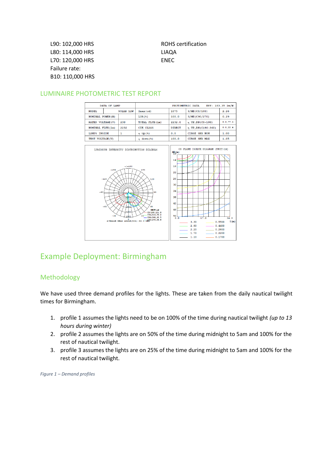L90: 102,000 HRS ROHS certification L80: 114,000 HRS LIAQA L70: 120,000 HRS ENEC Failure rate: B10: 110,000 HRS



#### LUMINAIRE PHOTOMETRIC TEST REPORT



# Example Deployment: Birmingham

#### Methodology

We have used three demand profiles for the lights. These are taken from the daily nautical twilight times for Birmingham.

- 1. profile 1 assumes the lights need to be on 100% of the time during nautical twilight *(up to 13 hours during winter)*
- 2. profile 2 assumes the lights are on 50% of the time during midnight to 5am and 100% for the rest of nautical twilight.
- 3. profile 3 assumes the lights are on 25% of the time during midnight to 5am and 100% for the rest of nautical twilight.

*Figure 1 – Demand profiles*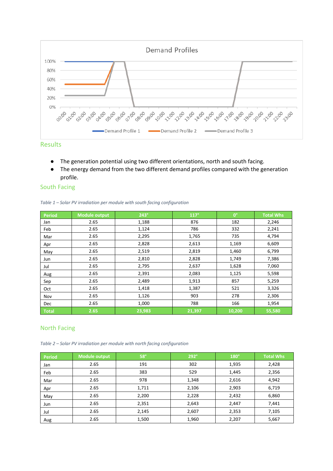

Results

- The generation potential using two different orientations, north and south facing.
- The energy demand from the two different demand profiles compared with the generation profile.

#### South Facing

|  | Table 1 – Solar PV irradiation per module with south facing configuration |  |  |  |  |
|--|---------------------------------------------------------------------------|--|--|--|--|
|--|---------------------------------------------------------------------------|--|--|--|--|

| <b>Period</b> | <b>Module output</b> | $243^\circ$ | $117^\circ$ | $0^{\circ}$ | <b>Total Whs</b> |
|---------------|----------------------|-------------|-------------|-------------|------------------|
| Jan           | 2.65                 | 1,188       | 876         | 182         | 2,246            |
| Feb           | 2.65                 | 1,124       | 786         | 332         | 2,241            |
| Mar           | 2.65                 | 2,295       | 1,765       | 735         | 4,794            |
| Apr           | 2.65                 | 2,828       | 2,613       | 1,169       | 6,609            |
| May           | 2.65                 | 2,519       | 2,819       | 1,460       | 6,799            |
| Jun           | 2.65                 | 2,810       | 2,828       | 1,749       | 7,386            |
| Jul           | 2.65                 | 2,795       | 2,637       | 1,628       | 7,060            |
| Aug           | 2.65                 | 2,391       | 2,083       | 1,125       | 5,598            |
| Sep           | 2.65                 | 2,489       | 1,913       | 857         | 5,259            |
| Oct           | 2.65                 | 1,418       | 1,387       | 521         | 3,326            |
| Nov           | 2.65                 | 1,126       | 903         | 278         | 2,306            |
| Dec           | 2.65                 | 1,000       | 788         | 166         | 1,954            |
| Total         | 2.65                 | 23,983      | 21,397      | 10,200      | 55,580           |

#### North Facing

*Table 2 – Solar PV irradiation per module with north facing configuration*

| Period | <b>Module output</b> | $58^\circ$ | $292^\circ$ | $180^\circ$ | <b>Total Whs</b> |
|--------|----------------------|------------|-------------|-------------|------------------|
| Jan    | 2.65                 | 191        | 302         | 1,935       | 2,428            |
| Feb    | 2.65                 | 383        | 529         | 1,445       | 2,356            |
| Mar    | 2.65                 | 978        | 1,348       | 2,616       | 4,942            |
| Apr    | 2.65                 | 1,711      | 2,106       | 2,903       | 6,719            |
| May    | 2.65                 | 2,200      | 2,228       | 2,432       | 6,860            |
| Jun    | 2.65                 | 2,351      | 2,643       | 2,447       | 7,441            |
| Jul    | 2.65                 | 2,145      | 2,607       | 2,353       | 7,105            |
| Aug    | 2.65                 | 1,500      | 1,960       | 2,207       | 5,667            |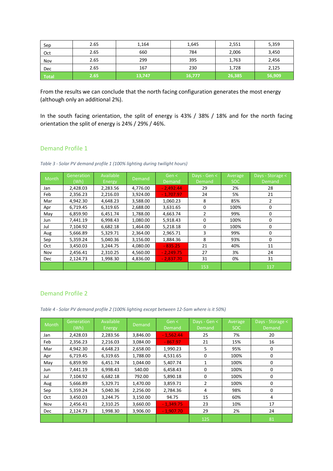| Sep   | 2.65 | 1,164  | 1,645  | 2,551  | 5,359  |
|-------|------|--------|--------|--------|--------|
| Oct   | 2.65 | 660    | 784    | 2,006  | 3,450  |
| Nov   | 2.65 | 299    | 395    | 1,763  | 2,456  |
| Dec   | 2.65 | 167    | 230    | 1,728  | 2,125  |
| Total | 2.65 | 13,747 | 16,777 | 26,385 | 56,909 |

From the results we can conclude that the north facing configuration generates the most energy (although only an additional 2%).

In the south facing orientation, the split of energy is 43% / 38% / 18% and for the north facing orientation the split of energy is 24% / 29% / 46%.

#### Demand Profile 1

*Table 3 - Solar PV demand profile 1 (100% lighting during twilight hours)*

| Month | Generation | Available | Demand   | Gen <       | Days - Gen < | Average | Days - Storage < |
|-------|------------|-----------|----------|-------------|--------------|---------|------------------|
|       | (Wh)       | Energy    |          | Demand      | Demand       | SOC.    | Demand           |
| Jan   | 2,428.03   | 2,283.56  | 4,776.00 | $-2,492.44$ | 29           | 2%      | 28               |
| Feb   | 2,356.23   | 2.216.03  | 3.924.00 | $-1,707.97$ | 24           | 5%      | 21               |
| Mar   | 4,942.30   | 4,648.23  | 3,588.00 | 1,060.23    | 8            | 85%     | 2                |
| Apr   | 6,719.45   | 6,319.65  | 2,688.00 | 3,631.65    | 0            | 100%    | 0                |
| May   | 6,859.90   | 6,451.74  | 1,788.00 | 4,663.74    | 2            | 99%     | 0                |
| Jun   | 7,441.19   | 6,998.43  | 1,080.00 | 5,918.43    | 0            | 100%    | 0                |
| Jul   | 7.104.92   | 6.682.18  | 1,464.00 | 5,218.18    | $\mathbf{0}$ | 100%    | $\Omega$         |
| Aug   | 5,666.89   | 5,329.71  | 2,364.00 | 2,965.71    | 3            | 99%     | 0                |
| Sep   | 5,359.24   | 5.040.36  | 3,156.00 | 1,884.36    | 8            | 93%     | 0                |
| Oct   | 3,450.03   | 3,244.75  | 4,080.00 | $-835.25$   | 21           | 40%     | 11               |
| Nov   | 2,456.41   | 2,310.25  | 4,560.00 | $-2,249.75$ | 27           | 3%      | 24               |
| Dec.  | 2.124.73   | 1,998.30  | 4.836.00 | $-2.837.70$ | 31           | 0%      | 31               |
|       |            |           |          |             | 153          |         | 117              |

#### Demand Profile 2

*Table 4 - Solar PV demand profile 2 (100% lighting except between 12-5am where is it 50%)*

| Month | Generation<br>(Wh) | Available<br>Energy | <b>Demand</b> | Gen $\leq$<br>Demand | Days - Gen <<br>Demand | Average<br>SOC. | Days - Storage <<br>Demand |
|-------|--------------------|---------------------|---------------|----------------------|------------------------|-----------------|----------------------------|
| Jan   | 2,428.03           | 2,283.56            | 3,846.00      | $-1,562.44$          | 25                     | 7%              | 20                         |
| Feb   | 2,356.23           | 2.216.03            | 3,084.00      | $-867.97$            | 21                     | 15%             | 16                         |
| Mar   | 4,942.30           | 4,648.23            | 2,658.00      | 1,990.23             | 5                      | 95%             | 0                          |
| Apr   | 6,719.45           | 6,319.65            | 1,788.00      | 4,531.65             | 0                      | 100%            | 0                          |
| May   | 6,859.90           | 6,451.74            | 1,044.00      | 5,407.74             | 1                      | 100%            | 0                          |
| Jun   | 7,441.19           | 6,998.43            | 540.00        | 6,458.43             | 0                      | 100%            | 0                          |
| Jul   | 7,104.92           | 6,682.18            | 792.00        | 5,890.18             | $\Omega$               | 100%            | 0                          |
| Aug   | 5,666.89           | 5,329.71            | 1,470.00      | 3,859.71             | 2                      | 100%            | 0                          |
| Sep   | 5,359.24           | 5,040.36            | 2,256.00      | 2,784.36             | 4                      | 98%             | $\Omega$                   |
| Oct.  | 3,450.03           | 3,244.75            | 3,150.00      | 94.75                | 15                     | 60%             | 4                          |
| Nov   | 2,456.41           | 2,310.25            | 3,660.00      | $-1,349.75$          | 23                     | 10%             | 17                         |
| Dec   | 2,124.73           | 1,998.30            | 3,906.00      | $-1,907.70$          | 29                     | 2%              | 24                         |
|       |                    |                     |               |                      | 125                    |                 | 81                         |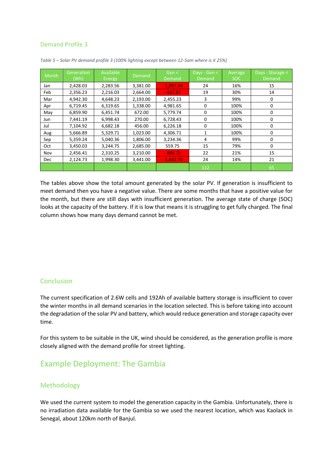#### Demand Profile 3

| Month      | Generation<br>(Wh) | Available<br>Energy | Demand   | Gen <<br>Demand | Days - Gen <<br>Demand | Average<br><b>SOC</b> | Days - Storage <<br>Demand |
|------------|--------------------|---------------------|----------|-----------------|------------------------|-----------------------|----------------------------|
| Jan        | 2,428.03           | 2,283.56            | 3,381.00 | $-1,097.44$     | 24                     | 16%                   | 15                         |
| Feb        | 2,356.23           | 2,216.03            | 2,664.00 | $-447.97$       | 19                     | 30%                   | 14                         |
| Mar        | 4,942.30           | 4,648.23            | 2,193.00 | 2,455.23        | 3                      | 99%                   | 0                          |
| Apr        | 6,719.45           | 6,319.65            | 1,338.00 | 4,981.65        | 0                      | 100%                  | 0                          |
| May        | 6,859.90           | 6.451.74            | 672.00   | 5,779.74        | $\Omega$               | 100%                  | 0                          |
| Jun        | 7,441.19           | 6,998.43            | 270.00   | 6,728.43        | 0                      | 100%                  | 0                          |
| Jul        | 7.104.92           | 6.682.18            | 456.00   | 6,226.18        | $\Omega$               | 100%                  | 0                          |
| Aug        | 5,666.89           | 5,329.71            | 1,023.00 | 4,306.71        |                        | 100%                  | 0                          |
| Sep        | 5,359.24           | 5,040.36            | 1,806.00 | 3,234.36        | 4                      | 99%                   | 0                          |
| Oct        | 3,450.03           | 3,244.75            | 2,685.00 | 559.75          | 15                     | 79%                   | 0                          |
| Nov        | 2,456.41           | 2,310.25            | 3,210.00 | $-899.75$       | 22                     | 21%                   | 15                         |
| <b>Dec</b> | 2,124.73           | 1,998.30            | 3,441.00 | $-1,442.70$     | 24                     | 14%                   | 21                         |
|            |                    |                     |          |                 | 112                    |                       | 65                         |

*Table 5 – Solar PV demand profile 3 (100% lighting except between 12-5am where is it 25%)*

The tables above show the total amount generated by the solar PV. If generation is insufficient to meet demand then you have a negative value. There are some months that have a positive value for the month, but there are still days with insufficient generation. The average state of charge (SOC) looks at the capacity of the battery. If it is low that means it is struggling to get fully charged. The final column shows how many days demand cannot be met.

### **Conclusion**

The current specification of 2.6W cells and 192Ah of available battery storage is insufficient to cover the winter months in all demand scenarios in the location selected. This is before taking into account the degradation of the solar PV and battery, which would reduce generation and storage capacity over time.

For this system to be suitable in the UK, wind should be considered, as the generation profile is more closely aligned with the demand profile for street lighting.

# Example Deployment: The Gambia

#### Methodology

We used the current system to model the generation capacity in the Gambia. Unfortunately, there is no irradiation data available for the Gambia so we used the nearest location, which was Kaolack in Senegal, about 120km north of Banjul.